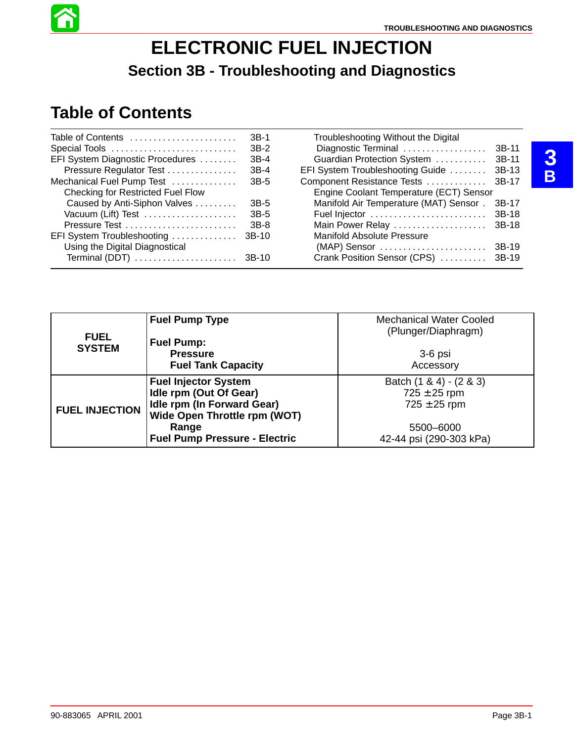

# **Table of Contents**

| Table of Contents                        | $3B-1$ | Troubleshooting Without the Digital     |        |
|------------------------------------------|--------|-----------------------------------------|--------|
| Special Tools                            | $3B-2$ | Diagnostic Terminal                     | 3B-11  |
| EFI System Diagnostic Procedures         | $3B-4$ | Guardian Protection System              | 3B-11  |
| Pressure Regulator Test                  | $3B-4$ | EFI System Troubleshooting Guide        | 3B-13  |
| Mechanical Fuel Pump Test                | 3B-5   | Component Resistance Tests              | -3B-17 |
| <b>Checking for Restricted Fuel Flow</b> |        | Engine Coolant Temperature (ECT) Sensor |        |
| Caused by Anti-Siphon Valves             | $3B-5$ | Manifold Air Temperature (MAT) Sensor.  | 3B-17  |
| Vacuum (Lift) Test                       | 3B-5   |                                         |        |
| Pressure Test                            | $3B-8$ | Main Power Relay                        | 3B-18  |
| EFI System Troubleshooting               | 3B-10  | Manifold Absolute Pressure              |        |
| Using the Digital Diagnostical           |        |                                         |        |
| Terminal (DDT)  3B-10                    |        | Crank Position Sensor (CPS)  3B-19      |        |

|                       | <b>Fuel Pump Type</b>                | <b>Mechanical Water Cooled</b> |
|-----------------------|--------------------------------------|--------------------------------|
| <b>FUEL</b>           |                                      | (Plunger/Diaphragm)            |
| <b>SYSTEM</b>         | <b>Fuel Pump:</b>                    |                                |
|                       | <b>Pressure</b>                      | $3-6$ psi                      |
|                       | <b>Fuel Tank Capacity</b>            | Accessory                      |
|                       | <b>Fuel Injector System</b>          | Batch $(1 \& 4) - (2 \& 3)$    |
|                       | Idle rpm (Out Of Gear)               | $725 \pm 25$ rpm               |
| <b>FUEL INJECTION</b> | Idle rpm (In Forward Gear)           | $725 \pm 25$ rpm               |
|                       | Wide Open Throttle rpm (WOT)         |                                |
|                       | Range                                | 5500-6000                      |
|                       | <b>Fuel Pump Pressure - Electric</b> | 42-44 psi (290-303 kPa)        |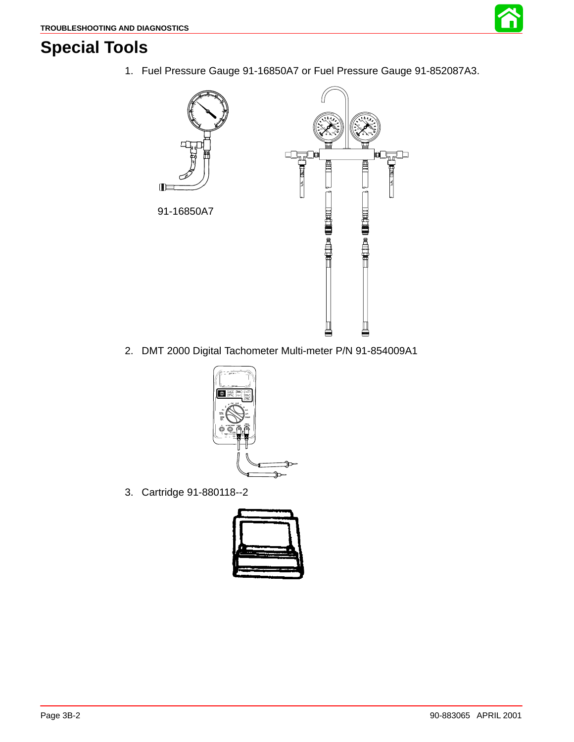

## **Special Tools**

1. Fuel Pressure Gauge 91-16850A7 or Fuel Pressure Gauge 91-852087A3.



2. DMT 2000 Digital Tachometer Multi-meter P/N 91-854009A1



3. Cartridge 91-880118--2

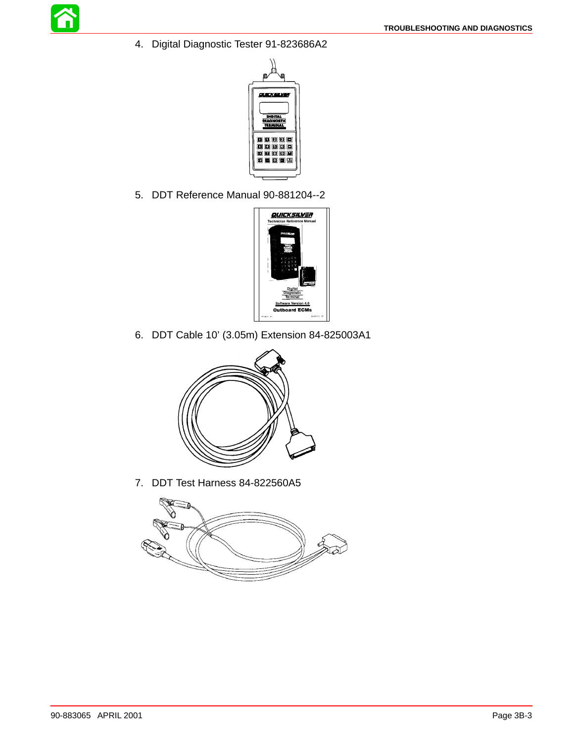4. Digital Diagnostic Tester 91-823686A2



5. DDT Reference Manual 90-881204--2



6. DDT Cable 10' (3.05m) Extension 84-825003A1



7. DDT Test Harness 84-822560A5

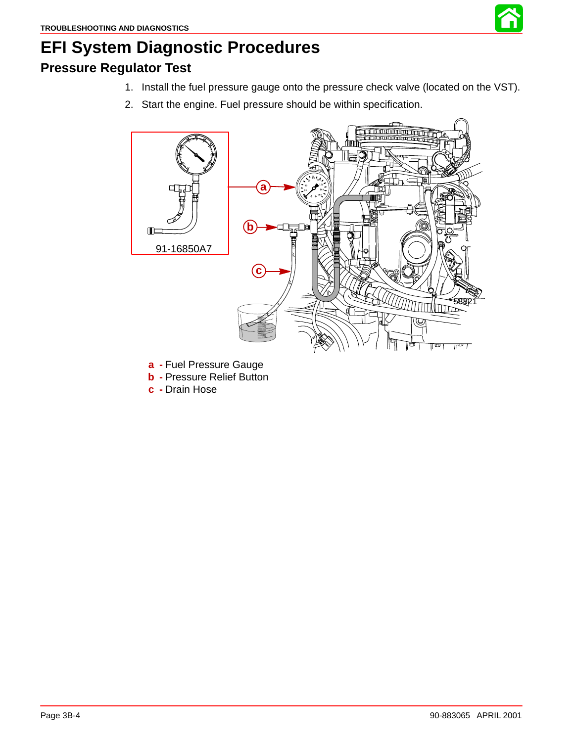

# <span id="page-3-0"></span>**EFI System Diagnostic Procedures**

### **Pressure Regulator Test**

- 1. Install the fuel pressure gauge onto the pressure check valve (located on the VST).
- 2. Start the engine. Fuel pressure should be within specification.



- **a -** Fuel Pressure Gauge
- **b -** Pressure Relief Button
- **c -** Drain Hose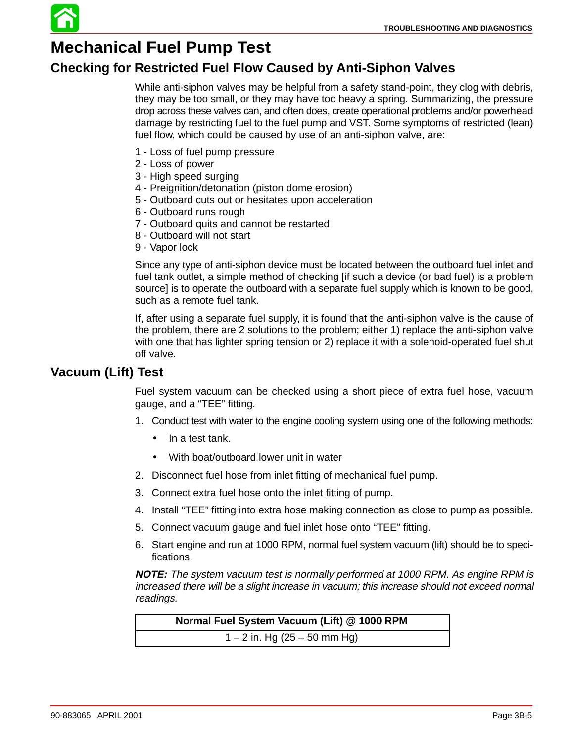

### **Checking for Restricted Fuel Flow Caused by Anti-Siphon Valves**

While anti-siphon valves may be helpful from a safety stand-point, they clog with debris, they may be too small, or they may have too heavy a spring. Summarizing, the pressure drop across these valves can, and often does, create operational problems and/or powerhead damage by restricting fuel to the fuel pump and VST. Some symptoms of restricted (lean) fuel flow, which could be caused by use of an anti-siphon valve, are:

- 1 Loss of fuel pump pressure
- 2 Loss of power
- 3 High speed surging
- 4 Preignition/detonation (piston dome erosion)
- 5 Outboard cuts out or hesitates upon acceleration
- 6 Outboard runs rough
- 7 Outboard quits and cannot be restarted
- 8 Outboard will not start
- 9 Vapor lock

Since any type of anti-siphon device must be located between the outboard fuel inlet and fuel tank outlet, a simple method of checking [if such a device (or bad fuel) is a problem source] is to operate the outboard with a separate fuel supply which is known to be good, such as a remote fuel tank.

If, after using a separate fuel supply, it is found that the anti-siphon valve is the cause of the problem, there are 2 solutions to the problem; either 1) replace the anti-siphon valve with one that has lighter spring tension or 2) replace it with a solenoid-operated fuel shut off valve.

### **Vacuum (Lift) Test**

Fuel system vacuum can be checked using a short piece of extra fuel hose, vacuum gauge, and a "TEE" fitting.

- 1. Conduct test with water to the engine cooling system using one of the following methods:
	- In a test tank.
	- With boat/outboard lower unit in water
- 2. Disconnect fuel hose from inlet fitting of mechanical fuel pump.
- 3. Connect extra fuel hose onto the inlet fitting of pump.
- 4. Install "TEE" fitting into extra hose making connection as close to pump as possible.
- 5. Connect vacuum gauge and fuel inlet hose onto "TEE" fitting.
- 6. Start engine and run at 1000 RPM, normal fuel system vacuum (lift) should be to specifications.

**NOTE:** The system vacuum test is normally performed at 1000 RPM. As engine RPM is increased there will be a slight increase in vacuum; this increase should not exceed normal readings.

**Normal Fuel System Vacuum (Lift) @ 1000 RPM** 1 – 2 in. Hg (25 – 50 mm Hg)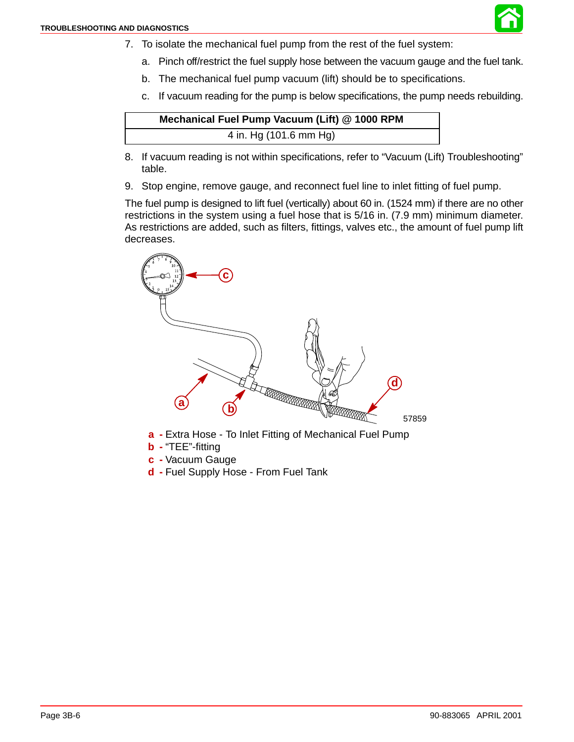

- 7. To isolate the mechanical fuel pump from the rest of the fuel system:
	- a. Pinch off/restrict the fuel supply hose between the vacuum gauge and the fuel tank.
	- b. The mechanical fuel pump vacuum (lift) should be to specifications.
	- c. If vacuum reading for the pump is below specifications, the pump needs rebuilding.

| Mechanical Fuel Pump Vacuum (Lift) @ 1000 RPM |  |
|-----------------------------------------------|--|
| 4 in. Hg (101.6 mm Hg)                        |  |

- 8. If vacuum reading is not within specifications, refer to "Vacuum (Lift) Troubleshooting" table.
- 9. Stop engine, remove gauge, and reconnect fuel line to inlet fitting of fuel pump.

The fuel pump is designed to lift fuel (vertically) about 60 in. (1524 mm) if there are no other restrictions in the system using a fuel hose that is 5/16 in. (7.9 mm) minimum diameter. As restrictions are added, such as filters, fittings, valves etc., the amount of fuel pump lift decreases.



- **a -** Extra Hose To Inlet Fitting of Mechanical Fuel Pump
- **b -** "TEE"-fitting
- **c -** Vacuum Gauge
- **d -** Fuel Supply Hose From Fuel Tank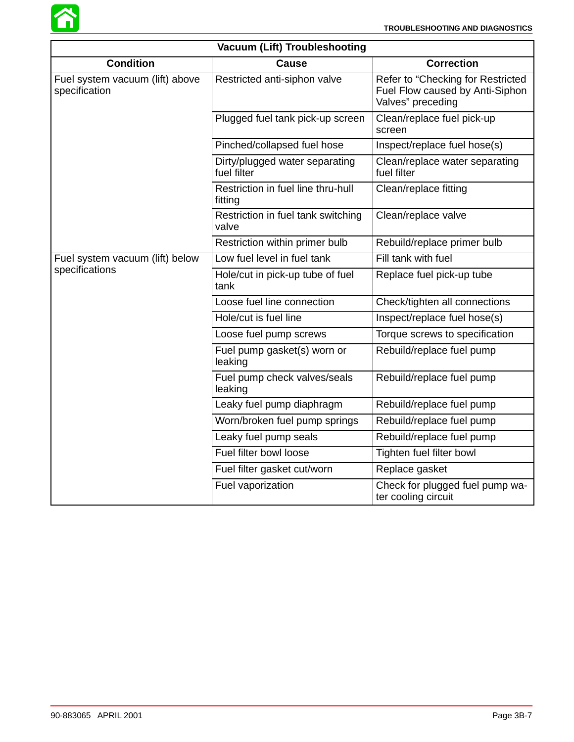

| <b>Vacuum (Lift) Troubleshooting</b>             |                                               |                                                                                           |  |  |  |
|--------------------------------------------------|-----------------------------------------------|-------------------------------------------------------------------------------------------|--|--|--|
| <b>Condition</b>                                 | <b>Cause</b>                                  | <b>Correction</b>                                                                         |  |  |  |
| Fuel system vacuum (lift) above<br>specification | Restricted anti-siphon valve                  | Refer to "Checking for Restricted<br>Fuel Flow caused by Anti-Siphon<br>Valves" preceding |  |  |  |
|                                                  | Plugged fuel tank pick-up screen              | Clean/replace fuel pick-up<br>screen                                                      |  |  |  |
|                                                  | Pinched/collapsed fuel hose                   | Inspect/replace fuel hose(s)                                                              |  |  |  |
|                                                  | Dirty/plugged water separating<br>fuel filter | Clean/replace water separating<br>fuel filter                                             |  |  |  |
|                                                  | Restriction in fuel line thru-hull<br>fitting | Clean/replace fitting                                                                     |  |  |  |
|                                                  | Restriction in fuel tank switching<br>valve   | Clean/replace valve                                                                       |  |  |  |
|                                                  | Restriction within primer bulb                | Rebuild/replace primer bulb                                                               |  |  |  |
| Fuel system vacuum (lift) below                  | Low fuel level in fuel tank                   | Fill tank with fuel                                                                       |  |  |  |
| specifications                                   | Hole/cut in pick-up tube of fuel<br>tank      | Replace fuel pick-up tube                                                                 |  |  |  |
|                                                  | Loose fuel line connection                    | Check/tighten all connections                                                             |  |  |  |
|                                                  | Hole/cut is fuel line                         | Inspect/replace fuel hose(s)                                                              |  |  |  |
|                                                  | Loose fuel pump screws                        | Torque screws to specification                                                            |  |  |  |
|                                                  | Fuel pump gasket(s) worn or<br>leaking        | Rebuild/replace fuel pump                                                                 |  |  |  |
|                                                  | Fuel pump check valves/seals<br>leaking       | Rebuild/replace fuel pump                                                                 |  |  |  |
|                                                  | Leaky fuel pump diaphragm                     | Rebuild/replace fuel pump                                                                 |  |  |  |
|                                                  | Worn/broken fuel pump springs                 | Rebuild/replace fuel pump                                                                 |  |  |  |
|                                                  | Leaky fuel pump seals                         | Rebuild/replace fuel pump                                                                 |  |  |  |
|                                                  | Fuel filter bowl loose                        | Tighten fuel filter bowl                                                                  |  |  |  |
|                                                  | Fuel filter gasket cut/worn                   | Replace gasket                                                                            |  |  |  |
|                                                  | Fuel vaporization                             | Check for plugged fuel pump wa-<br>ter cooling circuit                                    |  |  |  |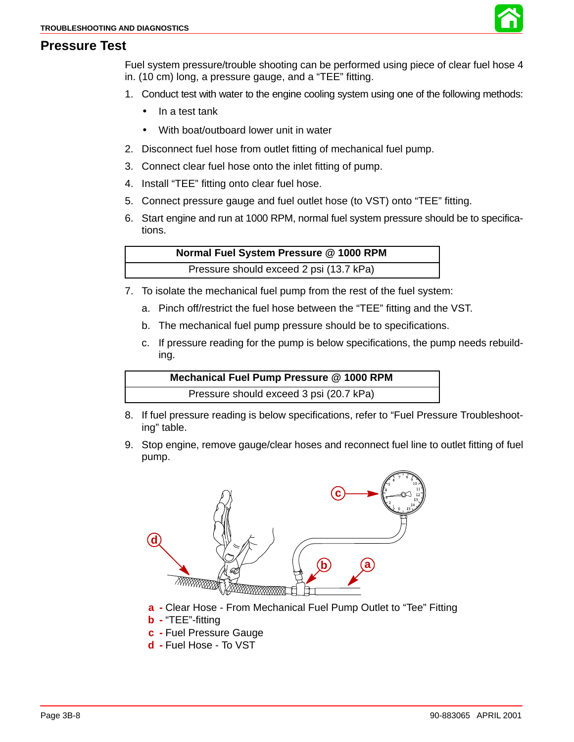

### **Pressure Test**

Fuel system pressure/trouble shooting can be performed using piece of clear fuel hose 4 in. (10 cm) long, a pressure gauge, and a "TEE" fitting.

- 1. Conduct test with water to the engine cooling system using one of the following methods:
	- In a test tank
	- With boat/outboard lower unit in water
- 2. Disconnect fuel hose from outlet fitting of mechanical fuel pump.
- 3. Connect clear fuel hose onto the inlet fitting of pump.
- 4. Install "TEE" fitting onto clear fuel hose.
- 5. Connect pressure gauge and fuel outlet hose (to VST) onto "TEE" fitting.
- 6. Start engine and run at 1000 RPM, normal fuel system pressure should be to specifications.

**Normal Fuel System Pressure @ 1000 RPM** Pressure should exceed 2 psi (13.7 kPa)

- 7. To isolate the mechanical fuel pump from the rest of the fuel system:
	- a. Pinch off/restrict the fuel hose between the "TEE" fitting and the VST.
	- b. The mechanical fuel pump pressure should be to specifications.
	- c. If pressure reading for the pump is below specifications, the pump needs rebuilding.

**Mechanical Fuel Pump Pressure @ 1000 RPM** Pressure should exceed 3 psi (20.7 kPa)

- 8. If fuel pressure reading is below specifications, refer to "Fuel Pressure Troubleshooting" table.
- 9. Stop engine, remove gauge/clear hoses and reconnect fuel line to outlet fitting of fuel pump.



- **a -** Clear Hose From Mechanical Fuel Pump Outlet to "Tee" Fitting
- **b -** "TEE"-fitting
- **c -** Fuel Pressure Gauge
- **d -** Fuel Hose To VST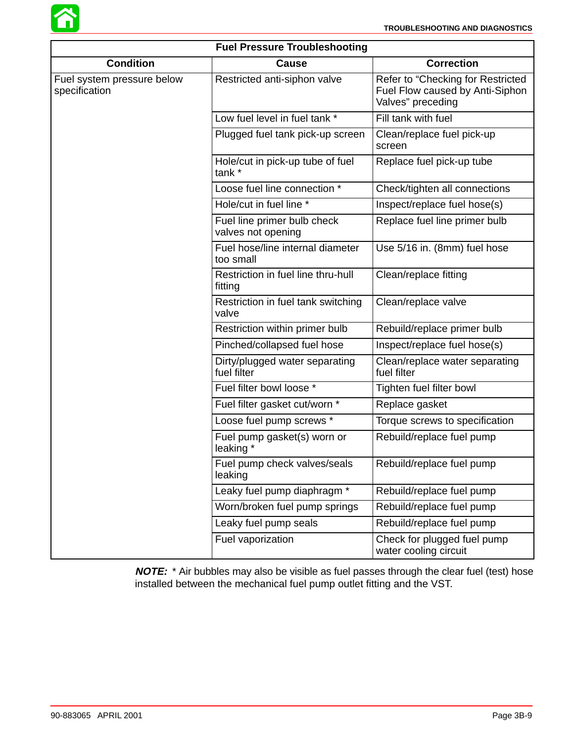

| <b>Fuel Pressure Troubleshooting</b>        |                                                   |                                                                                           |  |  |
|---------------------------------------------|---------------------------------------------------|-------------------------------------------------------------------------------------------|--|--|
| <b>Condition</b>                            | Cause                                             | <b>Correction</b>                                                                         |  |  |
| Fuel system pressure below<br>specification | Restricted anti-siphon valve                      | Refer to "Checking for Restricted<br>Fuel Flow caused by Anti-Siphon<br>Valves" preceding |  |  |
|                                             | Low fuel level in fuel tank *                     | Fill tank with fuel                                                                       |  |  |
|                                             | Plugged fuel tank pick-up screen                  | Clean/replace fuel pick-up<br>screen                                                      |  |  |
|                                             | Hole/cut in pick-up tube of fuel<br>tank *        | Replace fuel pick-up tube                                                                 |  |  |
|                                             | Loose fuel line connection *                      | Check/tighten all connections                                                             |  |  |
|                                             | Hole/cut in fuel line *                           | Inspect/replace fuel hose(s)                                                              |  |  |
|                                             | Fuel line primer bulb check<br>valves not opening | Replace fuel line primer bulb                                                             |  |  |
|                                             | Fuel hose/line internal diameter<br>too small     | Use 5/16 in. (8mm) fuel hose                                                              |  |  |
|                                             | Restriction in fuel line thru-hull<br>fitting     | Clean/replace fitting                                                                     |  |  |
|                                             | Restriction in fuel tank switching<br>valve       | Clean/replace valve                                                                       |  |  |
|                                             | Restriction within primer bulb                    | Rebuild/replace primer bulb                                                               |  |  |
|                                             | Pinched/collapsed fuel hose                       | Inspect/replace fuel hose(s)                                                              |  |  |
|                                             | Dirty/plugged water separating<br>fuel filter     | Clean/replace water separating<br>fuel filter                                             |  |  |
|                                             | Fuel filter bowl loose *                          | Tighten fuel filter bowl                                                                  |  |  |
|                                             | Fuel filter gasket cut/worn *                     | Replace gasket                                                                            |  |  |
|                                             | Loose fuel pump screws *                          | Torque screws to specification                                                            |  |  |
|                                             | Fuel pump gasket(s) worn or<br>leaking *          | Rebuild/replace fuel pump                                                                 |  |  |
|                                             | Fuel pump check valves/seals<br>leaking           | Rebuild/replace fuel pump                                                                 |  |  |
|                                             | Leaky fuel pump diaphragm *                       | Rebuild/replace fuel pump                                                                 |  |  |
|                                             | Worn/broken fuel pump springs                     | Rebuild/replace fuel pump                                                                 |  |  |
|                                             | Leaky fuel pump seals                             | Rebuild/replace fuel pump                                                                 |  |  |
|                                             | Fuel vaporization                                 | Check for plugged fuel pump<br>water cooling circuit                                      |  |  |

**NOTE:** \* Air bubbles may also be visible as fuel passes through the clear fuel (test) hose installed between the mechanical fuel pump outlet fitting and the VST.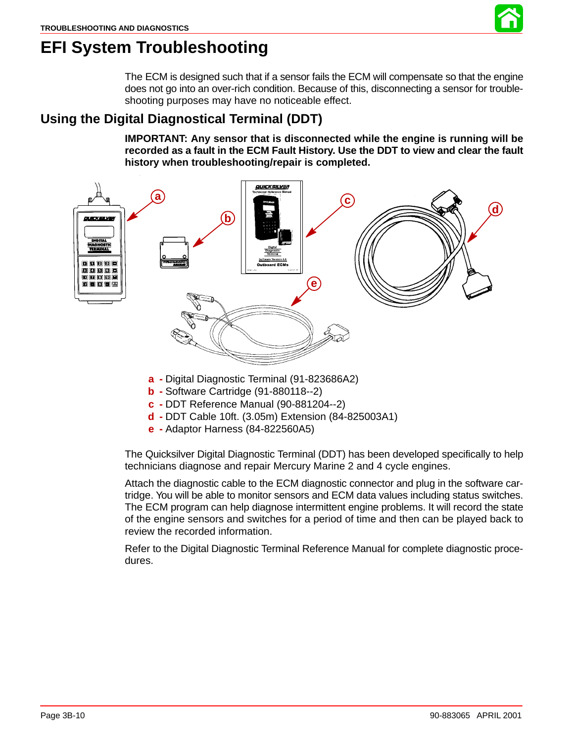# **EFI System Troubleshooting**

The ECM is designed such that if a sensor fails the ECM will compensate so that the engine does not go into an over-rich condition. Because of this, disconnecting a sensor for troubleshooting purposes may have no noticeable effect.

### **Using the Digital Diagnostical Terminal (DDT)**

**IMPORTANT: Any sensor that is disconnected while the engine is running will be recorded as a fault in the ECM Fault History. Use the DDT to view and clear the fault history when troubleshooting/repair is completed.**



- **d -** DDT Cable 10ft. (3.05m) Extension (84-825003A1)
- **e -** Adaptor Harness (84-822560A5)

The Quicksilver Digital Diagnostic Terminal (DDT) has been developed specifically to help technicians diagnose and repair Mercury Marine 2 and 4 cycle engines.

Attach the diagnostic cable to the ECM diagnostic connector and plug in the software cartridge. You will be able to monitor sensors and ECM data values including status switches. The ECM program can help diagnose intermittent engine problems. It will record the state of the engine sensors and switches for a period of time and then can be played back to review the recorded information.

Refer to the Digital Diagnostic Terminal Reference Manual for complete diagnostic procedures.

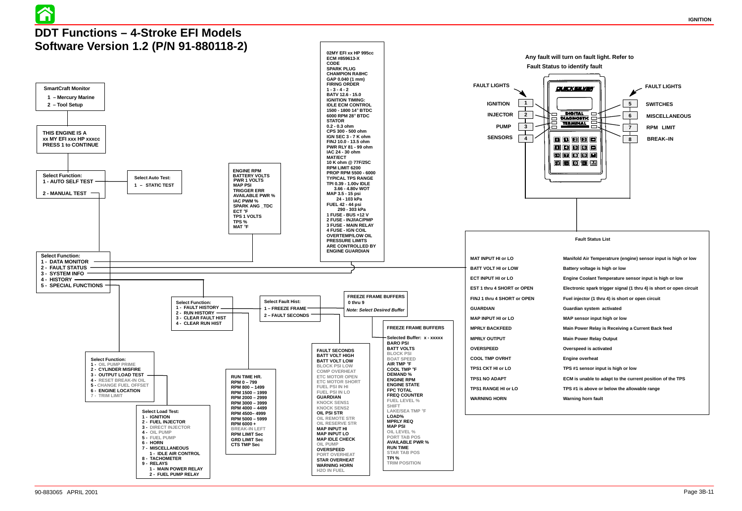- 
- 
- 
- 
- 
- 
- 
- 
- 
- 
- 
- 
- 
- 
- 

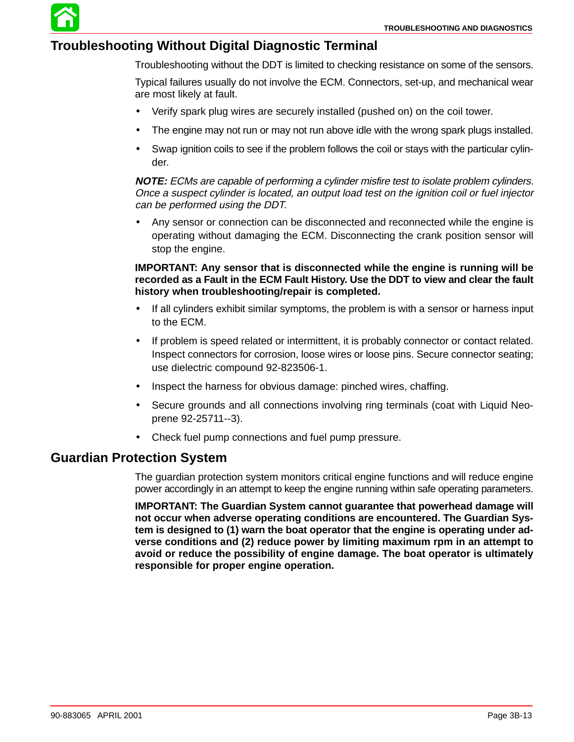### **Troubleshooting Without Digital Diagnostic Terminal**

Troubleshooting without the DDT is limited to checking resistance on some of the sensors.

Typical failures usually do not involve the ECM. Connectors, set-up, and mechanical wear are most likely at fault.

- Verify spark plug wires are securely installed (pushed on) on the coil tower.
- The engine may not run or may not run above idle with the wrong spark plugs installed.
- Swap ignition coils to see if the problem follows the coil or stays with the particular cylinder.

**NOTE:** ECMs are capable of performing a cylinder misfire test to isolate problem cylinders. Once a suspect cylinder is located, an output load test on the ignition coil or fuel injector can be performed using the DDT.

• Any sensor or connection can be disconnected and reconnected while the engine is operating without damaging the ECM. Disconnecting the crank position sensor will stop the engine.

### **IMPORTANT: Any sensor that is disconnected while the engine is running will be recorded as a Fault in the ECM Fault History. Use the DDT to view and clear the fault history when troubleshooting/repair is completed.**

- If all cylinders exhibit similar symptoms, the problem is with a sensor or harness input to the ECM.
- If problem is speed related or intermittent, it is probably connector or contact related. Inspect connectors for corrosion, loose wires or loose pins. Secure connector seating; use dielectric compound 92-823506-1.
- Inspect the harness for obvious damage: pinched wires, chaffing.
- Secure grounds and all connections involving ring terminals (coat with Liquid Neoprene 92-25711--3).
- Check fuel pump connections and fuel pump pressure.

### **Guardian Protection System**

The guardian protection system monitors critical engine functions and will reduce engine power accordingly in an attempt to keep the engine running within safe operating parameters.

**IMPORTANT: The Guardian System cannot guarantee that powerhead damage will not occur when adverse operating conditions are encountered. The Guardian System is designed to (1) warn the boat operator that the engine is operating under adverse conditions and (2) reduce power by limiting maximum rpm in an attempt to avoid or reduce the possibility of engine damage. The boat operator is ultimately responsible for proper engine operation.**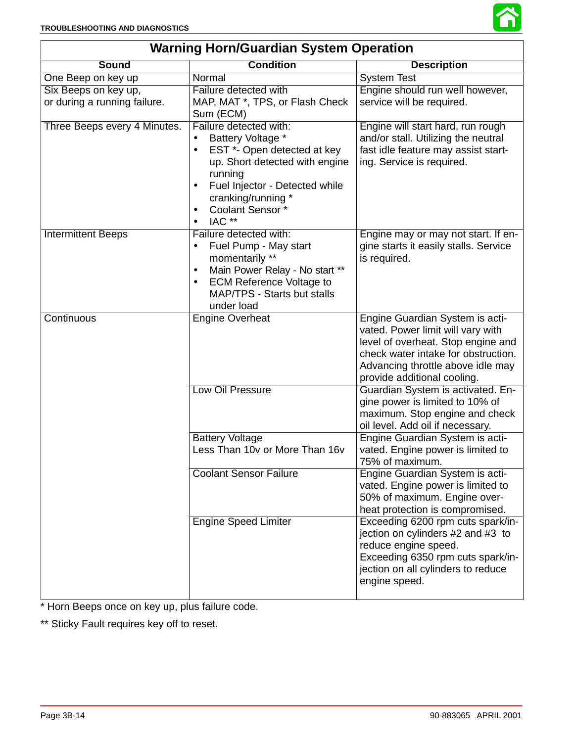

| <b>Warning Horn/Guardian System Operation</b> |                                                                                                                                                                                                                                                                  |                                                                                                                                                                                                                       |  |  |
|-----------------------------------------------|------------------------------------------------------------------------------------------------------------------------------------------------------------------------------------------------------------------------------------------------------------------|-----------------------------------------------------------------------------------------------------------------------------------------------------------------------------------------------------------------------|--|--|
| <b>Sound</b>                                  | <b>Condition</b>                                                                                                                                                                                                                                                 | <b>Description</b>                                                                                                                                                                                                    |  |  |
| One Beep on key up                            | Normal                                                                                                                                                                                                                                                           | <b>System Test</b>                                                                                                                                                                                                    |  |  |
| Six Beeps on key up,                          | Failure detected with                                                                                                                                                                                                                                            | Engine should run well however,                                                                                                                                                                                       |  |  |
| or during a running failure.                  | MAP, MAT *, TPS, or Flash Check<br>Sum (ECM)                                                                                                                                                                                                                     | service will be required.                                                                                                                                                                                             |  |  |
| Three Beeps every 4 Minutes.                  | Failure detected with:<br>Battery Voltage *<br>$\bullet$<br>EST *- Open detected at key<br>$\bullet$<br>up. Short detected with engine<br>running<br>Fuel Injector - Detected while<br>cranking/running *<br>Coolant Sensor*<br>$\bullet$<br>IAC **<br>$\bullet$ | Engine will start hard, run rough<br>and/or stall. Utilizing the neutral<br>fast idle feature may assist start-<br>ing. Service is required.                                                                          |  |  |
| <b>Intermittent Beeps</b>                     | Failure detected with:<br>Fuel Pump - May start<br>$\bullet$<br>momentarily **<br>Main Power Relay - No start **<br>$\bullet$<br><b>ECM Reference Voltage to</b><br>$\bullet$<br>MAP/TPS - Starts but stalls<br>under load                                       | Engine may or may not start. If en-<br>gine starts it easily stalls. Service<br>is required.                                                                                                                          |  |  |
| Continuous                                    | <b>Engine Overheat</b>                                                                                                                                                                                                                                           | Engine Guardian System is acti-<br>vated. Power limit will vary with<br>level of overheat. Stop engine and<br>check water intake for obstruction.<br>Advancing throttle above idle may<br>provide additional cooling. |  |  |
|                                               | Low Oil Pressure                                                                                                                                                                                                                                                 | Guardian System is activated. En-<br>gine power is limited to 10% of<br>maximum. Stop engine and check<br>oil level. Add oil if necessary.                                                                            |  |  |
|                                               | <b>Battery Voltage</b><br>Less Than 10v or More Than 16v                                                                                                                                                                                                         | Engine Guardian System is acti-<br>vated. Engine power is limited to<br>75% of maximum.                                                                                                                               |  |  |
|                                               | <b>Coolant Sensor Failure</b>                                                                                                                                                                                                                                    | Engine Guardian System is acti-<br>vated. Engine power is limited to<br>50% of maximum. Engine over-<br>heat protection is compromised.                                                                               |  |  |
|                                               | <b>Engine Speed Limiter</b>                                                                                                                                                                                                                                      | Exceeding 6200 rpm cuts spark/in-<br>jection on cylinders #2 and #3 to<br>reduce engine speed.<br>Exceeding 6350 rpm cuts spark/in-<br>jection on all cylinders to reduce<br>engine speed.                            |  |  |

\* Horn Beeps once on key up, plus failure code.

\*\* Sticky Fault requires key off to reset.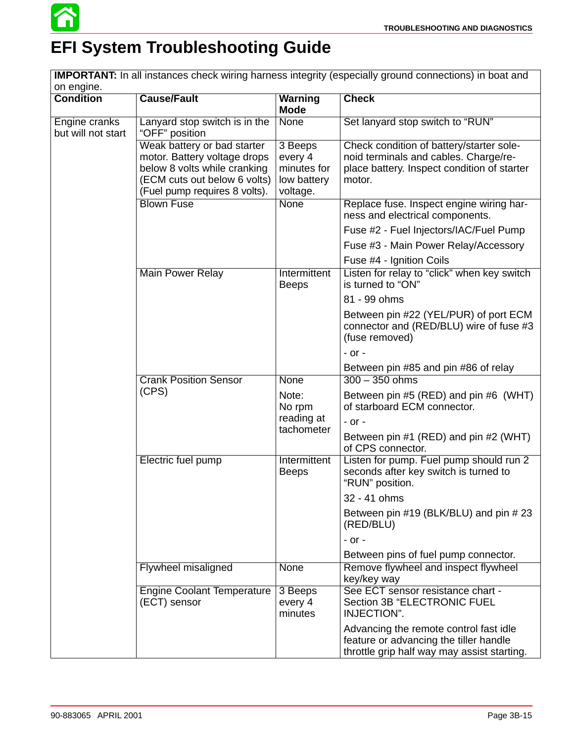

# **EFI System Troubleshooting Guide**

**IMPORTANT:** In all instances check wiring harness integrity (especially ground connections) in boat and on engine.

| <b>Condition</b>                    | <b>Cause/Fault</b>                                                                                                                                           | <b>Warning</b>                                               | <b>Check</b>                                                                                                                               |
|-------------------------------------|--------------------------------------------------------------------------------------------------------------------------------------------------------------|--------------------------------------------------------------|--------------------------------------------------------------------------------------------------------------------------------------------|
|                                     |                                                                                                                                                              | <b>Mode</b>                                                  |                                                                                                                                            |
| Engine cranks<br>but will not start | Lanyard stop switch is in the<br>"OFF" position                                                                                                              | None                                                         | Set lanyard stop switch to "RUN"                                                                                                           |
|                                     | Weak battery or bad starter<br>motor. Battery voltage drops<br>below 8 volts while cranking<br>(ECM cuts out below 6 volts)<br>(Fuel pump requires 8 volts). | 3 Beeps<br>every 4<br>minutes for<br>low battery<br>voltage. | Check condition of battery/starter sole-<br>noid terminals and cables. Charge/re-<br>place battery. Inspect condition of starter<br>motor. |
|                                     | <b>Blown Fuse</b>                                                                                                                                            | <b>None</b>                                                  | Replace fuse. Inspect engine wiring har-<br>ness and electrical components.                                                                |
|                                     |                                                                                                                                                              |                                                              | Fuse #2 - Fuel Injectors/IAC/Fuel Pump                                                                                                     |
|                                     |                                                                                                                                                              |                                                              | Fuse #3 - Main Power Relay/Accessory                                                                                                       |
|                                     |                                                                                                                                                              |                                                              | Fuse #4 - Ignition Coils                                                                                                                   |
|                                     | Main Power Relay                                                                                                                                             | <b>Intermittent</b><br><b>Beeps</b>                          | Listen for relay to "click" when key switch<br>is turned to "ON"                                                                           |
|                                     |                                                                                                                                                              |                                                              | 81 - 99 ohms                                                                                                                               |
|                                     |                                                                                                                                                              |                                                              | Between pin #22 (YEL/PUR) of port ECM<br>connector and (RED/BLU) wire of fuse #3<br>(fuse removed)                                         |
|                                     |                                                                                                                                                              |                                                              | $-$ or $-$                                                                                                                                 |
|                                     |                                                                                                                                                              |                                                              | Between pin #85 and pin #86 of relay                                                                                                       |
|                                     | <b>Crank Position Sensor</b>                                                                                                                                 | None                                                         | $300 - 350$ ohms                                                                                                                           |
|                                     | (CPS)                                                                                                                                                        | Note:<br>No rpm                                              | Between pin #5 (RED) and pin #6 (WHT)<br>of starboard ECM connector.                                                                       |
|                                     |                                                                                                                                                              | reading at<br>tachometer                                     | $-$ or $-$                                                                                                                                 |
|                                     |                                                                                                                                                              | Between pin #1 (RED) and pin #2 (WHT)<br>of CPS connector.   |                                                                                                                                            |
|                                     | Electric fuel pump                                                                                                                                           | Intermittent<br><b>Beeps</b>                                 | Listen for pump. Fuel pump should run 2<br>seconds after key switch is turned to<br>"RUN" position.                                        |
|                                     |                                                                                                                                                              |                                                              | 32 - 41 ohms                                                                                                                               |
|                                     |                                                                                                                                                              |                                                              | Between pin #19 (BLK/BLU) and pin #23<br>(RED/BLU)                                                                                         |
|                                     |                                                                                                                                                              |                                                              | $-$ or $-$                                                                                                                                 |
|                                     |                                                                                                                                                              |                                                              | Between pins of fuel pump connector.                                                                                                       |
|                                     | Flywheel misaligned                                                                                                                                          | None                                                         | Remove flywheel and inspect flywheel<br>key/key way                                                                                        |
|                                     | <b>Engine Coolant Temperature</b><br>(ECT) sensor                                                                                                            | 3 Beeps<br>every 4<br>minutes                                | See ECT sensor resistance chart -<br>Section 3B "ELECTRONIC FUEL<br>INJECTION".                                                            |
|                                     |                                                                                                                                                              |                                                              | Advancing the remote control fast idle<br>feature or advancing the tiller handle<br>throttle grip half way may assist starting.            |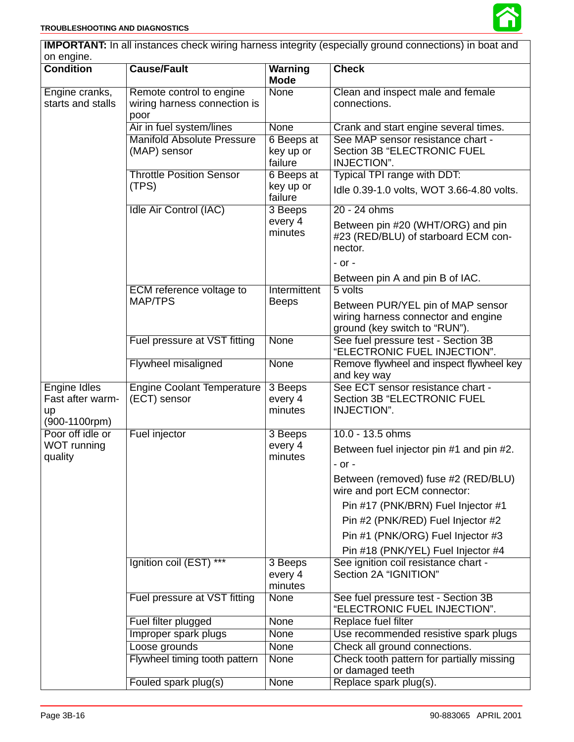| <b>IMPORTANT:</b> In all instances check wiring harness integrity (especially ground connections) in boat and |                                                   |                               |                                                                                     |  |
|---------------------------------------------------------------------------------------------------------------|---------------------------------------------------|-------------------------------|-------------------------------------------------------------------------------------|--|
| on engine.                                                                                                    |                                                   |                               |                                                                                     |  |
| <b>Condition</b>                                                                                              | <b>Cause/Fault</b>                                | Warning<br><b>Mode</b>        | <b>Check</b>                                                                        |  |
| Engine cranks,                                                                                                | Remote control to engine                          | <b>None</b>                   | Clean and inspect male and female                                                   |  |
| starts and stalls                                                                                             | wiring harness connection is                      |                               | connections.                                                                        |  |
|                                                                                                               | poor                                              |                               |                                                                                     |  |
|                                                                                                               | Air in fuel system/lines                          | <b>None</b>                   | Crank and start engine several times.                                               |  |
|                                                                                                               | <b>Manifold Absolute Pressure</b>                 | 6 Beeps at                    | See MAP sensor resistance chart -                                                   |  |
|                                                                                                               | (MAP) sensor                                      | key up or                     | <b>Section 3B "ELECTRONIC FUEL</b>                                                  |  |
|                                                                                                               |                                                   | failure                       | INJECTION".                                                                         |  |
|                                                                                                               | <b>Throttle Position Sensor</b>                   | 6 Beeps at                    | Typical TPI range with DDT:                                                         |  |
|                                                                                                               | (TPS)                                             | key up or<br>failure          | Idle 0.39-1.0 volts, WOT 3.66-4.80 volts.                                           |  |
|                                                                                                               | Idle Air Control (IAC)                            | 3 Beeps                       | 20 - 24 ohms                                                                        |  |
|                                                                                                               |                                                   | every 4<br>minutes            | Between pin #20 (WHT/ORG) and pin<br>#23 (RED/BLU) of starboard ECM con-<br>nector. |  |
|                                                                                                               |                                                   |                               | $-$ or $-$                                                                          |  |
|                                                                                                               |                                                   |                               | Between pin A and pin B of IAC.                                                     |  |
|                                                                                                               | ECM reference voltage to                          | Intermittent                  | 5 volts                                                                             |  |
|                                                                                                               | MAP/TPS                                           | <b>Beeps</b>                  | Between PUR/YEL pin of MAP sensor                                                   |  |
|                                                                                                               |                                                   |                               | wiring harness connector and engine                                                 |  |
|                                                                                                               |                                                   |                               | ground (key switch to "RUN").                                                       |  |
|                                                                                                               | Fuel pressure at VST fitting                      | <b>None</b>                   | See fuel pressure test - Section 3B<br>"ELECTRONIC FUEL INJECTION".                 |  |
|                                                                                                               | Flywheel misaligned                               | <b>None</b>                   | Remove flywheel and inspect flywheel key<br>and key way                             |  |
| <b>Engine Idles</b><br>Fast after warm-<br>up<br>(900-1100rpm)                                                | <b>Engine Coolant Temperature</b><br>(ECT) sensor | 3 Beeps<br>every 4<br>minutes | See ECT sensor resistance chart -<br>Section 3B "ELECTRONIC FUEL<br>INJECTION".     |  |
| Poor off idle or                                                                                              | Fuel injector                                     | 3 Beeps                       | 10.0 - 13.5 ohms                                                                    |  |
| WOT running                                                                                                   |                                                   | every 4                       | Between fuel injector pin #1 and pin #2.                                            |  |
| quality                                                                                                       |                                                   | minutes                       | - or -                                                                              |  |
|                                                                                                               |                                                   |                               |                                                                                     |  |
|                                                                                                               |                                                   |                               | Between (removed) fuse #2 (RED/BLU)<br>wire and port ECM connector:                 |  |
|                                                                                                               |                                                   |                               | Pin #17 (PNK/BRN) Fuel Injector #1                                                  |  |
|                                                                                                               |                                                   |                               | Pin #2 (PNK/RED) Fuel Injector #2                                                   |  |
|                                                                                                               |                                                   |                               | Pin #1 (PNK/ORG) Fuel Injector #3                                                   |  |
|                                                                                                               |                                                   |                               | Pin #18 (PNK/YEL) Fuel Injector #4                                                  |  |
|                                                                                                               | Ignition coil (EST) ***                           | 3 Beeps                       | See ignition coil resistance chart -                                                |  |
|                                                                                                               |                                                   | every 4                       | Section 2A "IGNITION"                                                               |  |
|                                                                                                               |                                                   | minutes                       |                                                                                     |  |
|                                                                                                               | Fuel pressure at VST fitting                      | None                          | See fuel pressure test - Section 3B<br>"ELECTRONIC FUEL INJECTION".                 |  |
|                                                                                                               | Fuel filter plugged                               | None                          | Replace fuel filter                                                                 |  |
|                                                                                                               | Improper spark plugs                              | None                          | Use recommended resistive spark plugs                                               |  |
|                                                                                                               | Loose grounds                                     | None                          | Check all ground connections.                                                       |  |
|                                                                                                               | Flywheel timing tooth pattern                     | None                          | Check tooth pattern for partially missing                                           |  |
|                                                                                                               |                                                   |                               | or damaged teeth                                                                    |  |
|                                                                                                               | Fouled spark plug(s)                              | None                          | Replace spark plug(s).                                                              |  |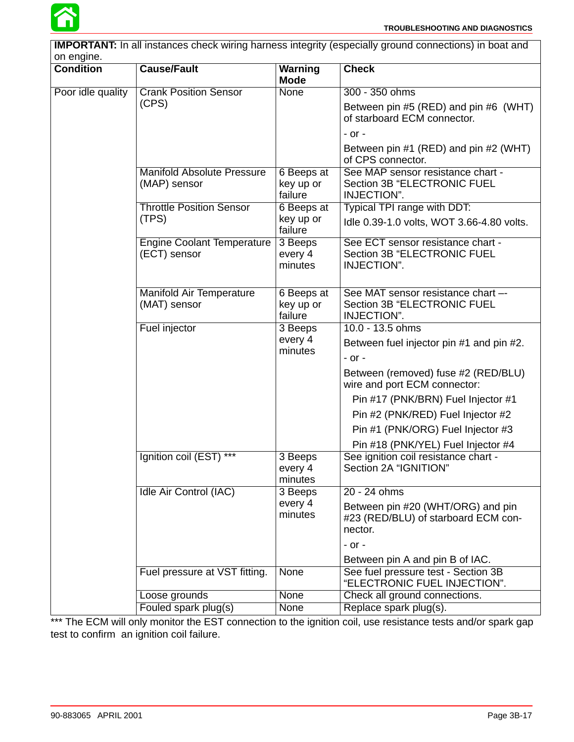

| <b>IMPORTANT:</b> In all instances check wiring harness integrity (especially ground connections) in boat and |                                                   |                                    |                                                                                         |
|---------------------------------------------------------------------------------------------------------------|---------------------------------------------------|------------------------------------|-----------------------------------------------------------------------------------------|
| on engine.                                                                                                    |                                                   |                                    |                                                                                         |
| <b>Condition</b>                                                                                              | <b>Cause/Fault</b>                                | <b>Warning</b><br><b>Mode</b>      | <b>Check</b>                                                                            |
| Poor idle quality                                                                                             | <b>Crank Position Sensor</b>                      | None                               | 300 - 350 ohms                                                                          |
|                                                                                                               | (CPS)                                             |                                    | Between pin #5 (RED) and pin #6 (WHT)<br>of starboard ECM connector.                    |
|                                                                                                               |                                                   |                                    | $-$ or $-$                                                                              |
|                                                                                                               |                                                   |                                    | Between pin #1 (RED) and pin #2 (WHT)<br>of CPS connector.                              |
|                                                                                                               | <b>Manifold Absolute Pressure</b><br>(MAP) sensor | 6 Beeps at<br>key up or<br>failure | See MAP sensor resistance chart -<br>Section 3B "ELECTRONIC FUEL<br>INJECTION".         |
|                                                                                                               | <b>Throttle Position Sensor</b>                   | 6 Beeps at                         | Typical TPI range with DDT:                                                             |
|                                                                                                               | (TPS)                                             | key up or<br>failure               | Idle 0.39-1.0 volts, WOT 3.66-4.80 volts.                                               |
|                                                                                                               | <b>Engine Coolant Temperature</b><br>(ECT) sensor | 3 Beeps<br>every 4<br>minutes      | See ECT sensor resistance chart -<br><b>Section 3B "ELECTRONIC FUEL</b><br>INJECTION".  |
|                                                                                                               | <b>Manifold Air Temperature</b><br>(MAT) sensor   | 6 Beeps at<br>key up or<br>failure | See MAT sensor resistance chart --<br><b>Section 3B "ELECTRONIC FUEL</b><br>INJECTION". |
|                                                                                                               | Fuel injector                                     | 3 Beeps                            | 10.0 - 13.5 ohms                                                                        |
|                                                                                                               |                                                   | every 4<br>minutes                 | Between fuel injector pin #1 and pin #2.<br>$-$ or $-$                                  |
|                                                                                                               |                                                   |                                    | Between (removed) fuse #2 (RED/BLU)<br>wire and port ECM connector:                     |
|                                                                                                               |                                                   |                                    | Pin #17 (PNK/BRN) Fuel Injector #1                                                      |
|                                                                                                               |                                                   |                                    | Pin #2 (PNK/RED) Fuel Injector #2                                                       |
|                                                                                                               |                                                   |                                    | Pin #1 (PNK/ORG) Fuel Injector #3                                                       |
|                                                                                                               |                                                   |                                    | Pin #18 (PNK/YEL) Fuel Injector #4                                                      |
|                                                                                                               | $***$<br>Ignition coil (EST)                      | 3 Beeps<br>every 4<br>minutes      | See ignition coil resistance chart -<br>Section 2A "IGNITION"                           |
|                                                                                                               | Idle Air Control (IAC)                            | 3 Beeps                            | 20 - 24 ohms                                                                            |
|                                                                                                               |                                                   | every 4<br>minutes                 | Between pin #20 (WHT/ORG) and pin<br>#23 (RED/BLU) of starboard ECM con-<br>nector.     |
|                                                                                                               |                                                   |                                    | $-$ or $-$                                                                              |
|                                                                                                               |                                                   |                                    | Between pin A and pin B of IAC.                                                         |
|                                                                                                               | Fuel pressure at VST fitting.                     | None                               | See fuel pressure test - Section 3B<br>"ELECTRONIC FUEL INJECTION".                     |
|                                                                                                               | Loose grounds                                     | <b>None</b>                        | Check all ground connections.                                                           |
|                                                                                                               | Fouled spark plug(s)                              | None                               | Replace spark plug(s).                                                                  |

\*\*\* The ECM will only monitor the EST connection to the ignition coil, use resistance tests and/or spark gap test to confirm an ignition coil failure.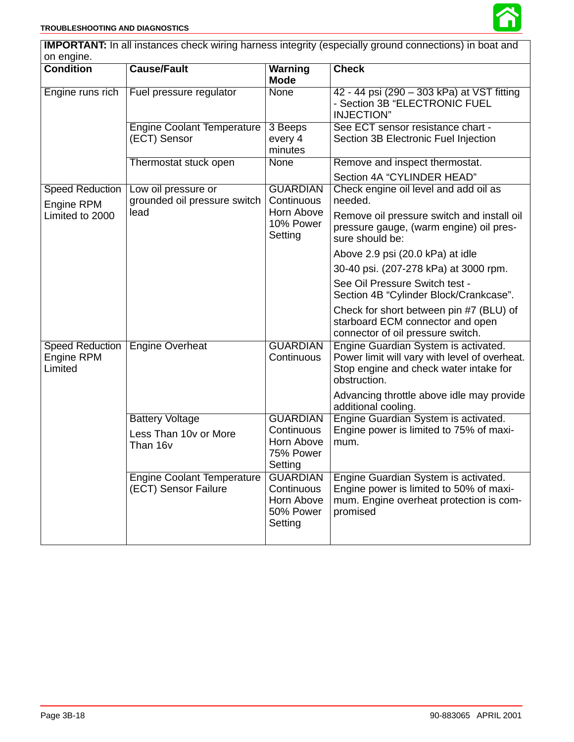

|                                                 |                                                             |                                                                     | <b>IMPORTANT:</b> In all instances check wiring harness integrity (especially ground connections) in boat and                                   |
|-------------------------------------------------|-------------------------------------------------------------|---------------------------------------------------------------------|-------------------------------------------------------------------------------------------------------------------------------------------------|
| on engine.                                      |                                                             |                                                                     |                                                                                                                                                 |
| <b>Condition</b>                                | <b>Cause/Fault</b>                                          | Warning<br><b>Mode</b>                                              | <b>Check</b>                                                                                                                                    |
| Engine runs rich                                | Fuel pressure regulator                                     | <b>None</b>                                                         | 42 - 44 psi (290 - 303 kPa) at VST fitting<br>- Section 3B "ELECTRONIC FUEL<br><b>INJECTION"</b>                                                |
|                                                 | <b>Engine Coolant Temperature</b><br>(ECT) Sensor           | 3 Beeps<br>every 4<br>minutes                                       | See ECT sensor resistance chart -<br>Section 3B Electronic Fuel Injection                                                                       |
|                                                 | Thermostat stuck open                                       | <b>None</b>                                                         | Remove and inspect thermostat.                                                                                                                  |
|                                                 |                                                             |                                                                     | Section 4A "CYLINDER HEAD"                                                                                                                      |
| <b>Speed Reduction</b><br>Engine RPM            | Low oil pressure or<br>grounded oil pressure switch         | <b>GUARDIAN</b><br>Continuous                                       | Check engine oil level and add oil as<br>needed.                                                                                                |
| Limited to 2000                                 | lead                                                        | Horn Above<br>10% Power<br>Setting                                  | Remove oil pressure switch and install oil<br>pressure gauge, (warm engine) oil pres-<br>sure should be:                                        |
|                                                 |                                                             |                                                                     | Above 2.9 psi (20.0 kPa) at idle                                                                                                                |
|                                                 |                                                             |                                                                     | 30-40 psi. (207-278 kPa) at 3000 rpm.                                                                                                           |
|                                                 |                                                             |                                                                     | See Oil Pressure Switch test -<br>Section 4B "Cylinder Block/Crankcase".                                                                        |
|                                                 |                                                             |                                                                     | Check for short between pin #7 (BLU) of<br>starboard ECM connector and open<br>connector of oil pressure switch.                                |
| <b>Speed Reduction</b><br>Engine RPM<br>Limited | <b>Engine Overheat</b>                                      | <b>GUARDIAN</b><br>Continuous                                       | Engine Guardian System is activated.<br>Power limit will vary with level of overheat.<br>Stop engine and check water intake for<br>obstruction. |
|                                                 |                                                             |                                                                     | Advancing throttle above idle may provide<br>additional cooling.                                                                                |
|                                                 | <b>Battery Voltage</b><br>Less Than 10y or More<br>Than 16v | <b>GUARDIAN</b><br>Continuous<br>Horn Above<br>75% Power<br>Setting | Engine Guardian System is activated.<br>Engine power is limited to 75% of maxi-<br>mum.                                                         |
|                                                 | <b>Engine Coolant Temperature</b><br>(ECT) Sensor Failure   | <b>GUARDIAN</b><br>Continuous<br>Horn Above<br>50% Power<br>Setting | Engine Guardian System is activated.<br>Engine power is limited to 50% of maxi-<br>mum. Engine overheat protection is com-<br>promised          |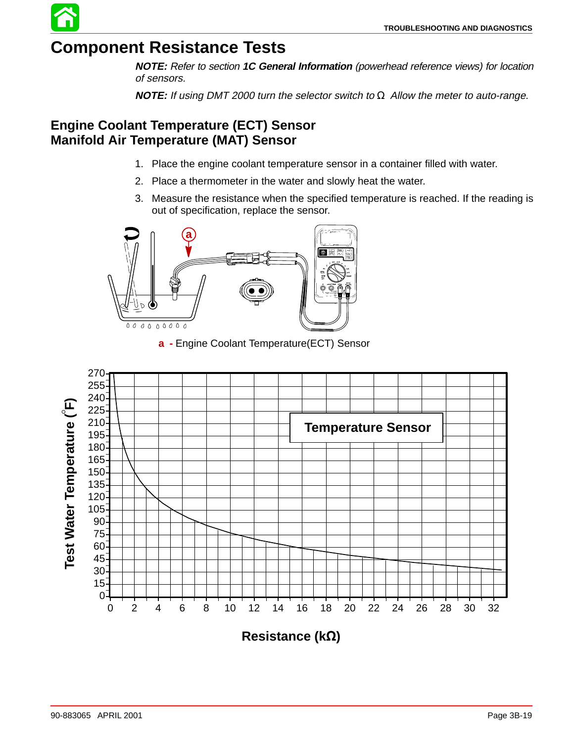

**NOTE:** Refer to section **1C General Information** (powerhead reference views) for location of sensors.

**NOTE:** If using DMT 2000 turn the selector switch to  $\Omega$  Allow the meter to auto-range.

### **Engine Coolant Temperature (ECT) Sensor Manifold Air Temperature (MAT) Sensor**

- 1. Place the engine coolant temperature sensor in a container filled with water.
- 2. Place a thermometer in the water and slowly heat the water.
- 3. Measure the resistance when the specified temperature is reached. If the reading is out of specification, replace the sensor.



**a -** Engine Coolant Temperature(ECT) Sensor

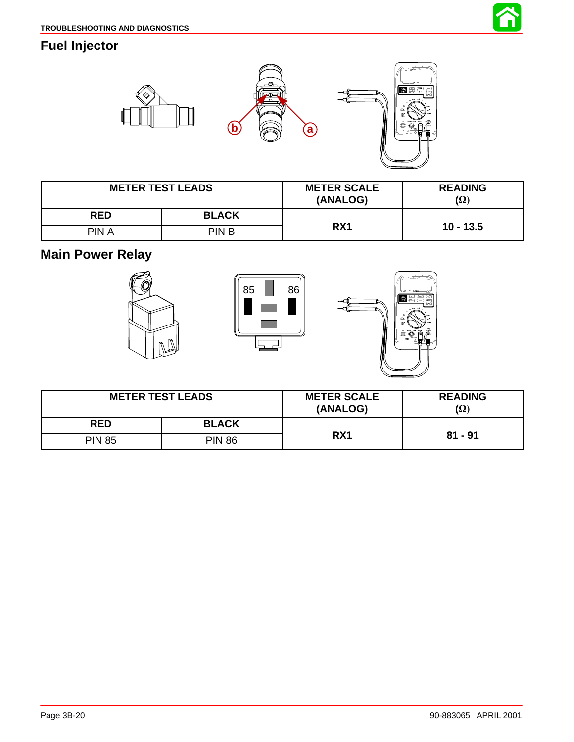

### **Fuel Injector**



| <b>METER TEST LEADS</b> |              | <b>METER SCALE</b><br>(ANALOG) | <b>READING</b><br>$(\Omega)$ |
|-------------------------|--------------|--------------------------------|------------------------------|
| <b>RED</b>              | <b>BLACK</b> |                                |                              |
| PIN A                   | PIN B        | RX <sub>1</sub>                | $10 - 13.5$                  |

**Main Power Relay**







| <b>METER TEST LEADS</b> |               | <b>METER SCALE</b><br>(ANALOG) | <b>READING</b><br>(Ω) |
|-------------------------|---------------|--------------------------------|-----------------------|
| <b>RED</b>              | <b>BLACK</b>  |                                |                       |
| <b>PIN 85</b>           | <b>PIN 86</b> | RX1                            | $81 - 91$             |